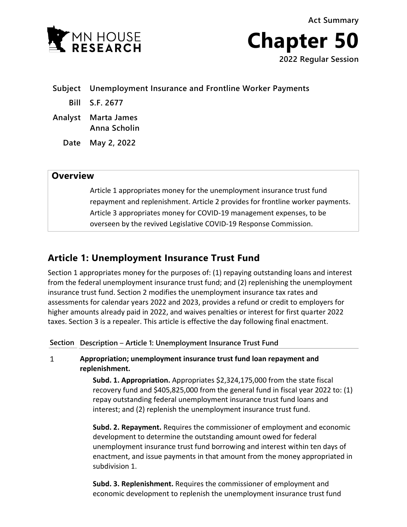**Act Summary**





**Subject Unemployment Insurance and Frontline Worker Payments**

- **Bill S.F. 2677**
- **Analyst Marta James Anna Scholin**
	- **Date May 2, 2022**

# **Overview**

Article 1 appropriates money for the unemployment insurance trust fund repayment and replenishment. Article 2 provides for frontline worker payments. Article 3 appropriates money for COVID-19 management expenses, to be overseen by the revived Legislative COVID-19 Response Commission.

# **Article 1: Unemployment Insurance Trust Fund**

Section 1 appropriates money for the purposes of: (1) repaying outstanding loans and interest from the federal unemployment insurance trust fund; and (2) replenishing the unemployment insurance trust fund. Section 2 modifies the unemployment insurance tax rates and assessments for calendar years 2022 and 2023, provides a refund or credit to employers for higher amounts already paid in 2022, and waives penalties or interest for first quarter 2022 taxes. Section 3 is a repealer. This article is effective the day following final enactment.

**Section Description** – **Article 1: Unemployment Insurance Trust Fund**

 $\mathbf{1}$ **Appropriation; unemployment insurance trust fund loan repayment and replenishment.**

> **Subd. 1. Appropriation.** Appropriates \$2,324,175,000 from the state fiscal recovery fund and \$405,825,000 from the general fund in fiscal year 2022 to: (1) repay outstanding federal unemployment insurance trust fund loans and interest; and (2) replenish the unemployment insurance trust fund.

> **Subd. 2. Repayment.** Requires the commissioner of employment and economic development to determine the outstanding amount owed for federal unemployment insurance trust fund borrowing and interest within ten days of enactment, and issue payments in that amount from the money appropriated in subdivision 1.

**Subd. 3. Replenishment.** Requires the commissioner of employment and economic development to replenish the unemployment insurance trust fund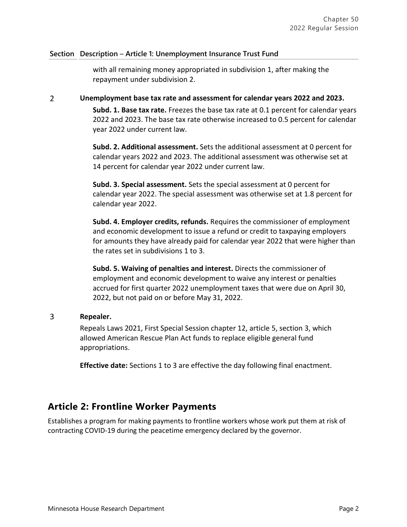## **Section Description** – **Article 1: Unemployment Insurance Trust Fund**

with all remaining money appropriated in subdivision 1, after making the repayment under subdivision 2.

### $\overline{2}$ **Unemployment base tax rate and assessment for calendar years 2022 and 2023.**

**Subd. 1. Base tax rate.** Freezes the base tax rate at 0.1 percent for calendar years 2022 and 2023. The base tax rate otherwise increased to 0.5 percent for calendar year 2022 under current law.

**Subd. 2. Additional assessment.** Sets the additional assessment at 0 percent for calendar years 2022 and 2023. The additional assessment was otherwise set at 14 percent for calendar year 2022 under current law.

**Subd. 3. Special assessment.** Sets the special assessment at 0 percent for calendar year 2022. The special assessment was otherwise set at 1.8 percent for calendar year 2022.

**Subd. 4. Employer credits, refunds.** Requires the commissioner of employment and economic development to issue a refund or credit to taxpaying employers for amounts they have already paid for calendar year 2022 that were higher than the rates set in subdivisions 1 to 3.

**Subd. 5. Waiving of penalties and interest.** Directs the commissioner of employment and economic development to waive any interest or penalties accrued for first quarter 2022 unemployment taxes that were due on April 30, 2022, but not paid on or before May 31, 2022.

### $\overline{3}$ **Repealer.**

Repeals Laws 2021, First Special Session chapter 12, article 5, section 3, which allowed American Rescue Plan Act funds to replace eligible general fund appropriations.

**Effective date:** Sections 1 to 3 are effective the day following final enactment.

# **Article 2: Frontline Worker Payments**

Establishes a program for making payments to frontline workers whose work put them at risk of contracting COVID-19 during the peacetime emergency declared by the governor.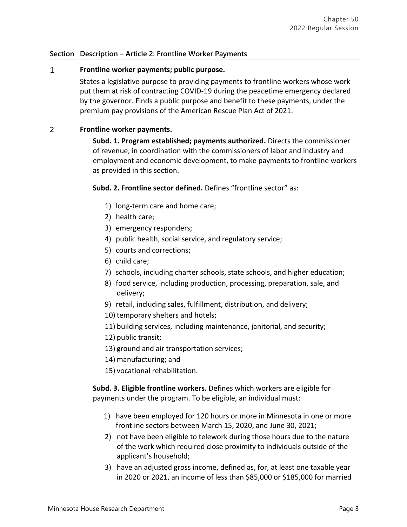# **Section Description** – **Article 2: Frontline Worker Payments**

### $\mathbf{1}$ **Frontline worker payments; public purpose.**

States a legislative purpose to providing payments to frontline workers whose work put them at risk of contracting COVID-19 during the peacetime emergency declared by the governor. Finds a public purpose and benefit to these payments, under the premium pay provisions of the American Rescue Plan Act of 2021.

#### $\overline{2}$ **Frontline worker payments.**

**Subd. 1. Program established; payments authorized.** Directs the commissioner of revenue, in coordination with the commissioners of labor and industry and employment and economic development, to make payments to frontline workers as provided in this section.

**Subd. 2. Frontline sector defined.** Defines "frontline sector" as:

- 1) long-term care and home care;
- 2) health care;
- 3) emergency responders;
- 4) public health, social service, and regulatory service;
- 5) courts and corrections;
- 6) child care;
- 7) schools, including charter schools, state schools, and higher education;
- 8) food service, including production, processing, preparation, sale, and delivery;
- 9) retail, including sales, fulfillment, distribution, and delivery;
- 10) temporary shelters and hotels;
- 11) building services, including maintenance, janitorial, and security;
- 12) public transit;
- 13) ground and air transportation services;
- 14) manufacturing; and
- 15) vocational rehabilitation.

**Subd. 3. Eligible frontline workers.** Defines which workers are eligible for payments under the program. To be eligible, an individual must:

- 1) have been employed for 120 hours or more in Minnesota in one or more frontline sectors between March 15, 2020, and June 30, 2021;
- 2) not have been eligible to telework during those hours due to the nature of the work which required close proximity to individuals outside of the applicant's household;
- 3) have an adjusted gross income, defined as, for, at least one taxable year in 2020 or 2021, an income of less than \$85,000 or \$185,000 for married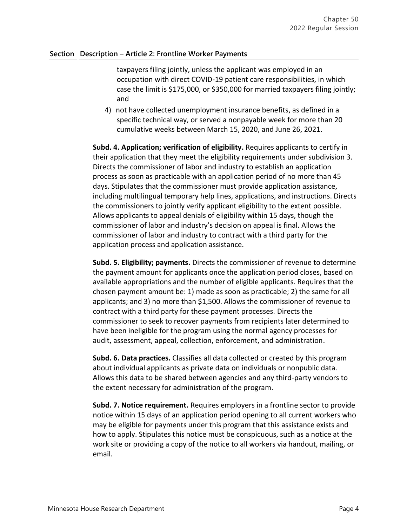### **Section Description** – **Article 2: Frontline Worker Payments**

taxpayers filing jointly, unless the applicant was employed in an occupation with direct COVID-19 patient care responsibilities, in which case the limit is \$175,000, or \$350,000 for married taxpayers filing jointly; and

4) not have collected unemployment insurance benefits, as defined in a specific technical way, or served a nonpayable week for more than 20 cumulative weeks between March 15, 2020, and June 26, 2021.

**Subd. 4. Application; verification of eligibility.** Requires applicants to certify in their application that they meet the eligibility requirements under subdivision 3. Directs the commissioner of labor and industry to establish an application process as soon as practicable with an application period of no more than 45 days. Stipulates that the commissioner must provide application assistance, including multilingual temporary help lines, applications, and instructions. Directs the commissioners to jointly verify applicant eligibility to the extent possible. Allows applicants to appeal denials of eligibility within 15 days, though the commissioner of labor and industry's decision on appeal is final. Allows the commissioner of labor and industry to contract with a third party for the application process and application assistance.

**Subd. 5. Eligibility; payments.** Directs the commissioner of revenue to determine the payment amount for applicants once the application period closes, based on available appropriations and the number of eligible applicants. Requires that the chosen payment amount be: 1) made as soon as practicable; 2) the same for all applicants; and 3) no more than \$1,500. Allows the commissioner of revenue to contract with a third party for these payment processes. Directs the commissioner to seek to recover payments from recipients later determined to have been ineligible for the program using the normal agency processes for audit, assessment, appeal, collection, enforcement, and administration.

**Subd. 6. Data practices.** Classifies all data collected or created by this program about individual applicants as private data on individuals or nonpublic data. Allows this data to be shared between agencies and any third-party vendors to the extent necessary for administration of the program.

**Subd. 7. Notice requirement.** Requires employers in a frontline sector to provide notice within 15 days of an application period opening to all current workers who may be eligible for payments under this program that this assistance exists and how to apply. Stipulates this notice must be conspicuous, such as a notice at the work site or providing a copy of the notice to all workers via handout, mailing, or email.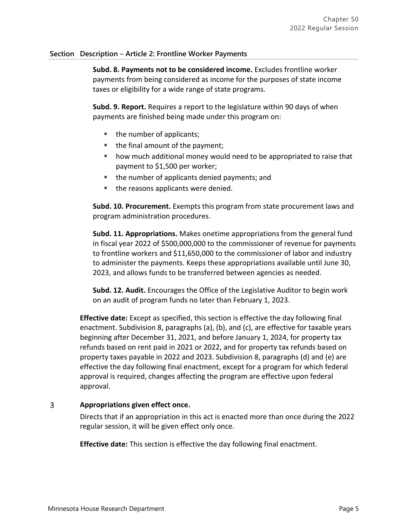## **Section Description** – **Article 2: Frontline Worker Payments**

**Subd. 8. Payments not to be considered income.** Excludes frontline worker payments from being considered as income for the purposes of state income taxes or eligibility for a wide range of state programs.

**Subd. 9. Report.** Requires a report to the legislature within 90 days of when payments are finished being made under this program on:

- the number of applicants;
- $\blacksquare$  the final amount of the payment;
- how much additional money would need to be appropriated to raise that payment to \$1,500 per worker;
- the number of applicants denied payments; and
- the reasons applicants were denied.

**Subd. 10. Procurement.** Exempts this program from state procurement laws and program administration procedures.

**Subd. 11. Appropriations.** Makes onetime appropriations from the general fund in fiscal year 2022 of \$500,000,000 to the commissioner of revenue for payments to frontline workers and \$11,650,000 to the commissioner of labor and industry to administer the payments. Keeps these appropriations available until June 30, 2023, and allows funds to be transferred between agencies as needed.

**Subd. 12. Audit.** Encourages the Office of the Legislative Auditor to begin work on an audit of program funds no later than February 1, 2023.

**Effective date:** Except as specified, this section is effective the day following final enactment. Subdivision 8, paragraphs (a), (b), and (c), are effective for taxable years beginning after December 31, 2021, and before January 1, 2024, for property tax refunds based on rent paid in 2021 or 2022, and for property tax refunds based on property taxes payable in 2022 and 2023. Subdivision 8, paragraphs (d) and (e) are effective the day following final enactment, except for a program for which federal approval is required, changes affecting the program are effective upon federal approval.

### $\overline{3}$ **Appropriations given effect once.**

Directs that if an appropriation in this act is enacted more than once during the 2022 regular session, it will be given effect only once.

**Effective date:** This section is effective the day following final enactment.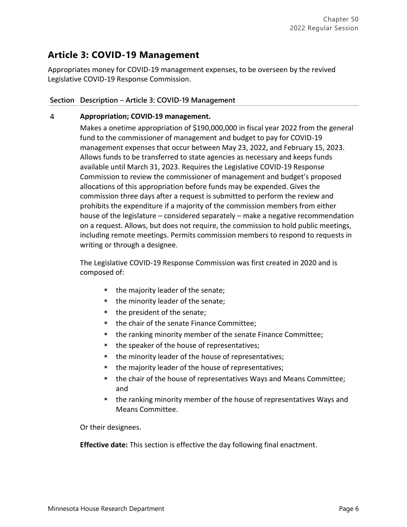# **Article 3: COVID-19 Management**

Appropriates money for COVID-19 management expenses, to be overseen by the revived Legislative COVID-19 Response Commission.

# **Section Description** – **Article 3: COVID-19 Management**

### 4 **Appropriation; COVID-19 management.**

Makes a onetime appropriation of \$190,000,000 in fiscal year 2022 from the general fund to the commissioner of management and budget to pay for COVID-19 management expenses that occur between May 23, 2022, and February 15, 2023. Allows funds to be transferred to state agencies as necessary and keeps funds available until March 31, 2023. Requires the Legislative COVID-19 Response Commission to review the commissioner of management and budget's proposed allocations of this appropriation before funds may be expended. Gives the commission three days after a request is submitted to perform the review and prohibits the expenditure if a majority of the commission members from either house of the legislature – considered separately – make a negative recommendation on a request. Allows, but does not require, the commission to hold public meetings, including remote meetings. Permits commission members to respond to requests in writing or through a designee.

The Legislative COVID-19 Response Commission was first created in 2020 and is composed of:

- the majority leader of the senate;
- the minority leader of the senate;
- the president of the senate;
- the chair of the senate Finance Committee;
- **the ranking minority member of the senate Finance Committee;**
- the speaker of the house of representatives;
- the minority leader of the house of representatives;
- the majority leader of the house of representatives;
- **the chair of the house of representatives Ways and Means Committee;** and
- the ranking minority member of the house of representatives Ways and Means Committee.

Or their designees.

**Effective date:** This section is effective the day following final enactment.